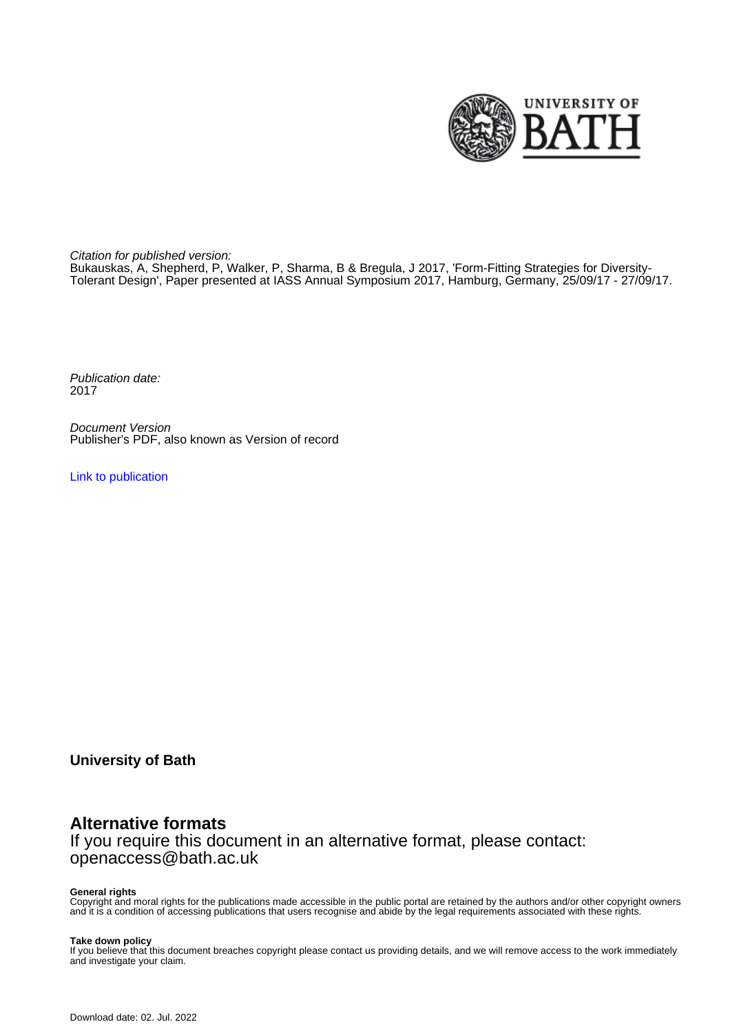

Citation for published version:

Bukauskas, A, Shepherd, P, Walker, P, Sharma, B & Bregula, J 2017, 'Form-Fitting Strategies for Diversity-Tolerant Design', Paper presented at IASS Annual Symposium 2017, Hamburg, Germany, 25/09/17 - 27/09/17.

Publication date: 2017

Document Version Publisher's PDF, also known as Version of record

[Link to publication](https://researchportal.bath.ac.uk/en/publications/formfitting-strategies-for-diversitytolerant-design(e5736cb6-0c69-4333-a60d-8d92136a9235).html)

**University of Bath**

## **Alternative formats**

If you require this document in an alternative format, please contact: openaccess@bath.ac.uk

#### **General rights**

Copyright and moral rights for the publications made accessible in the public portal are retained by the authors and/or other copyright owners and it is a condition of accessing publications that users recognise and abide by the legal requirements associated with these rights.

#### **Take down policy**

If you believe that this document breaches copyright please contact us providing details, and we will remove access to the work immediately and investigate your claim.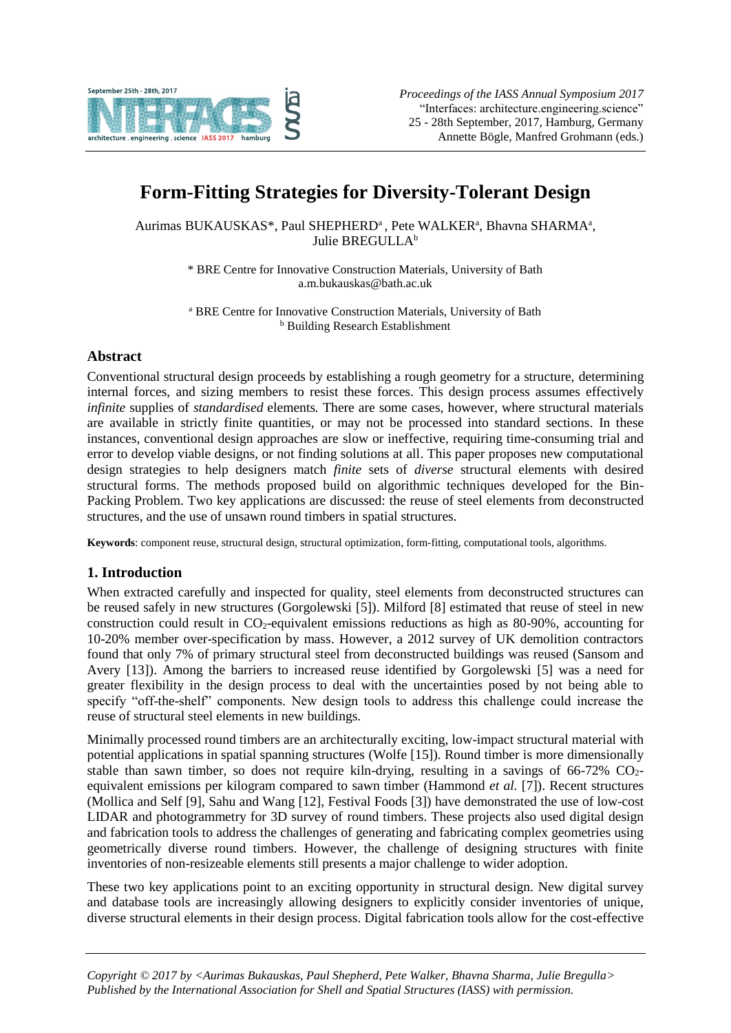

# **Form-Fitting Strategies for Diversity-Tolerant Design**

Aurimas BUKAUSKAS\*, Paul SHEPHERD<sup>a</sup>, Pete WALKER<sup>a</sup>, Bhavna SHARMA<sup>a</sup>, Julie BREGULLA<sup>b</sup>

> \* BRE Centre for Innovative Construction Materials, University of Bath a.m.bukauskas@bath.ac.uk

> <sup>a</sup> BRE Centre for Innovative Construction Materials, University of Bath <sup>b</sup> Building Research Establishment

## **Abstract**

Conventional structural design proceeds by establishing a rough geometry for a structure, determining internal forces, and sizing members to resist these forces. This design process assumes effectively *infinite* supplies of *standardised* elements*.* There are some cases, however, where structural materials are available in strictly finite quantities, or may not be processed into standard sections. In these instances, conventional design approaches are slow or ineffective, requiring time-consuming trial and error to develop viable designs, or not finding solutions at all. This paper proposes new computational design strategies to help designers match *finite* sets of *diverse* structural elements with desired structural forms. The methods proposed build on algorithmic techniques developed for the Bin-Packing Problem. Two key applications are discussed: the reuse of steel elements from deconstructed structures, and the use of unsawn round timbers in spatial structures.

**Keywords**: component reuse, structural design, structural optimization, form-fitting, computational tools, algorithms.

## **1. Introduction**

When extracted carefully and inspected for quality, steel elements from deconstructed structures can be reused safely in new structures (Gorgolewski [5]). Milford [8] estimated that reuse of steel in new construction could result in CO2-equivalent emissions reductions as high as 80-90%, accounting for 10-20% member over-specification by mass. However, a 2012 survey of UK demolition contractors found that only 7% of primary structural steel from deconstructed buildings was reused (Sansom and Avery [13]). Among the barriers to increased reuse identified by Gorgolewski [5] was a need for greater flexibility in the design process to deal with the uncertainties posed by not being able to specify "off-the-shelf" components. New design tools to address this challenge could increase the reuse of structural steel elements in new buildings.

Minimally processed round timbers are an architecturally exciting, low-impact structural material with potential applications in spatial spanning structures (Wolfe [15]). Round timber is more dimensionally stable than sawn timber, so does not require kiln-drying, resulting in a savings of  $66-72\%$  CO<sub>2</sub>equivalent emissions per kilogram compared to sawn timber (Hammond *et al.* [7]). Recent structures (Mollica and Self [9], Sahu and Wang [12], Festival Foods [3]) have demonstrated the use of low-cost LIDAR and photogrammetry for 3D survey of round timbers. These projects also used digital design and fabrication tools to address the challenges of generating and fabricating complex geometries using geometrically diverse round timbers. However, the challenge of designing structures with finite inventories of non-resizeable elements still presents a major challenge to wider adoption.

These two key applications point to an exciting opportunity in structural design. New digital survey and database tools are increasingly allowing designers to explicitly consider inventories of unique, diverse structural elements in their design process. Digital fabrication tools allow for the cost-effective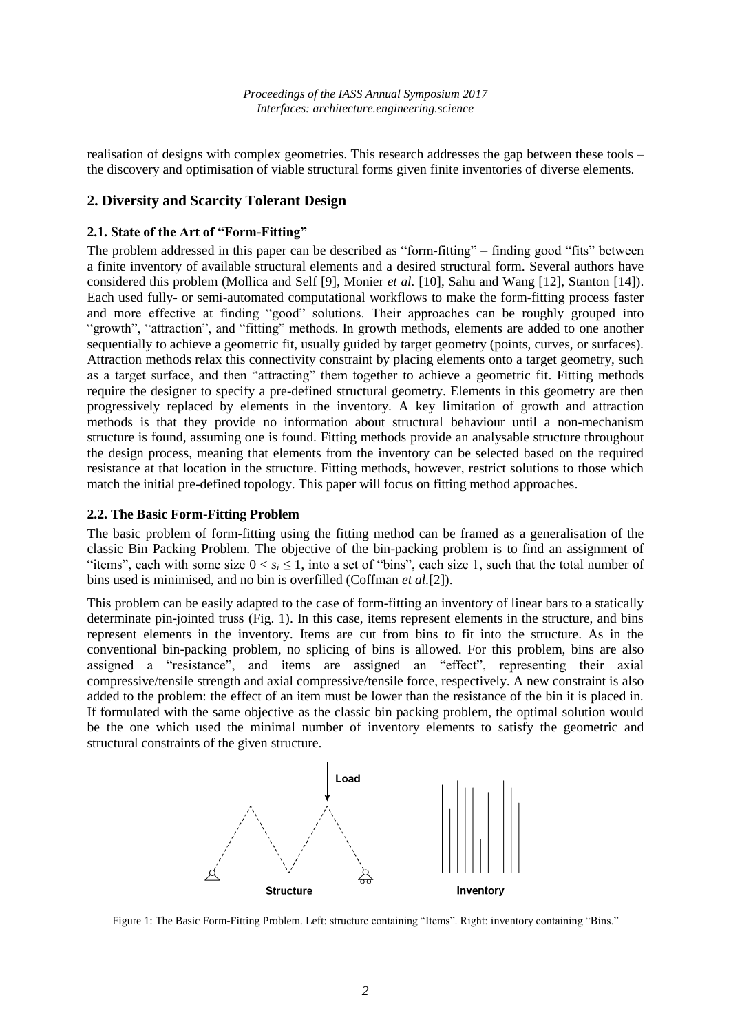realisation of designs with complex geometries. This research addresses the gap between these tools – the discovery and optimisation of viable structural forms given finite inventories of diverse elements.

#### **2. Diversity and Scarcity Tolerant Design**

#### **2.1. State of the Art of "Form-Fitting"**

The problem addressed in this paper can be described as "form-fitting" – finding good "fits" between a finite inventory of available structural elements and a desired structural form. Several authors have considered this problem (Mollica and Self [9], Monier *et al.* [10], Sahu and Wang [12], Stanton [14]). Each used fully- or semi-automated computational workflows to make the form-fitting process faster and more effective at finding "good" solutions. Their approaches can be roughly grouped into "growth", "attraction", and "fitting" methods. In growth methods, elements are added to one another sequentially to achieve a geometric fit, usually guided by target geometry (points, curves, or surfaces). Attraction methods relax this connectivity constraint by placing elements onto a target geometry, such as a target surface, and then "attracting" them together to achieve a geometric fit. Fitting methods require the designer to specify a pre-defined structural geometry. Elements in this geometry are then progressively replaced by elements in the inventory. A key limitation of growth and attraction methods is that they provide no information about structural behaviour until a non-mechanism structure is found, assuming one is found. Fitting methods provide an analysable structure throughout the design process, meaning that elements from the inventory can be selected based on the required resistance at that location in the structure. Fitting methods, however, restrict solutions to those which match the initial pre-defined topology. This paper will focus on fitting method approaches.

#### **2.2. The Basic Form-Fitting Problem**

The basic problem of form-fitting using the fitting method can be framed as a generalisation of the classic Bin Packing Problem. The objective of the bin-packing problem is to find an assignment of "items", each with some size  $0 < s_i \le 1$ , into a set of "bins", each size 1, such that the total number of bins used is minimised, and no bin is overfilled (Coffman *et al.*[2]).

This problem can be easily adapted to the case of form-fitting an inventory of linear bars to a statically determinate pin-jointed truss (Fig. 1). In this case, items represent elements in the structure, and bins represent elements in the inventory. Items are cut from bins to fit into the structure. As in the conventional bin-packing problem, no splicing of bins is allowed. For this problem, bins are also assigned a "resistance", and items are assigned an "effect", representing their axial compressive/tensile strength and axial compressive/tensile force, respectively. A new constraint is also added to the problem: the effect of an item must be lower than the resistance of the bin it is placed in. If formulated with the same objective as the classic bin packing problem, the optimal solution would be the one which used the minimal number of inventory elements to satisfy the geometric and structural constraints of the given structure.



Figure 1: The Basic Form-Fitting Problem. Left: structure containing "Items". Right: inventory containing "Bins."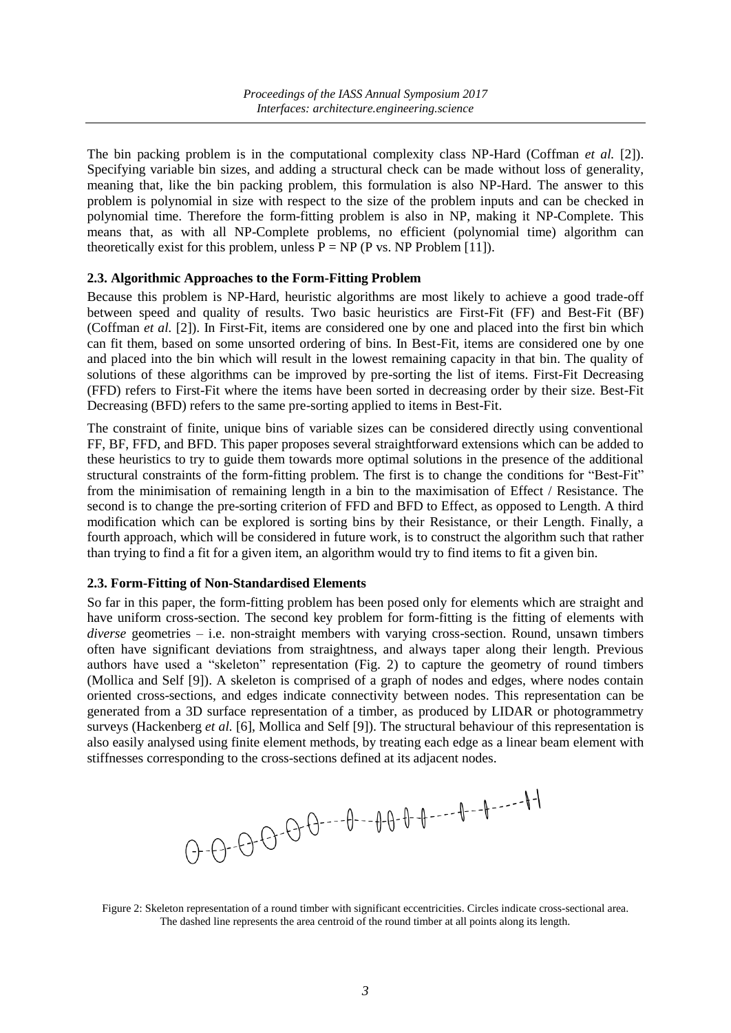The bin packing problem is in the computational complexity class NP-Hard (Coffman *et al.* [2]). Specifying variable bin sizes, and adding a structural check can be made without loss of generality, meaning that, like the bin packing problem, this formulation is also NP-Hard. The answer to this problem is polynomial in size with respect to the size of the problem inputs and can be checked in polynomial time. Therefore the form-fitting problem is also in NP, making it NP-Complete. This means that, as with all NP-Complete problems, no efficient (polynomial time) algorithm can theoretically exist for this problem, unless  $P = NP (P vs. NP Problem [11]).$ 

#### **2.3. Algorithmic Approaches to the Form-Fitting Problem**

Because this problem is NP-Hard, heuristic algorithms are most likely to achieve a good trade-off between speed and quality of results. Two basic heuristics are First-Fit (FF) and Best-Fit (BF) (Coffman *et al.* [2]). In First-Fit, items are considered one by one and placed into the first bin which can fit them, based on some unsorted ordering of bins. In Best-Fit, items are considered one by one and placed into the bin which will result in the lowest remaining capacity in that bin. The quality of solutions of these algorithms can be improved by pre-sorting the list of items. First-Fit Decreasing (FFD) refers to First-Fit where the items have been sorted in decreasing order by their size. Best-Fit Decreasing (BFD) refers to the same pre-sorting applied to items in Best-Fit.

The constraint of finite, unique bins of variable sizes can be considered directly using conventional FF, BF, FFD, and BFD. This paper proposes several straightforward extensions which can be added to these heuristics to try to guide them towards more optimal solutions in the presence of the additional structural constraints of the form-fitting problem. The first is to change the conditions for "Best-Fit" from the minimisation of remaining length in a bin to the maximisation of Effect / Resistance. The second is to change the pre-sorting criterion of FFD and BFD to Effect, as opposed to Length. A third modification which can be explored is sorting bins by their Resistance, or their Length. Finally, a fourth approach, which will be considered in future work, is to construct the algorithm such that rather than trying to find a fit for a given item, an algorithm would try to find items to fit a given bin.

#### **2.3. Form-Fitting of Non-Standardised Elements**

So far in this paper, the form-fitting problem has been posed only for elements which are straight and have uniform cross-section. The second key problem for form-fitting is the fitting of elements with *diverse* geometries – i.e. non-straight members with varying cross-section. Round, unsawn timbers often have significant deviations from straightness, and always taper along their length. Previous authors have used a "skeleton" representation (Fig. 2) to capture the geometry of round timbers (Mollica and Self [9]). A skeleton is comprised of a graph of nodes and edges, where nodes contain oriented cross-sections, and edges indicate connectivity between nodes. This representation can be generated from a 3D surface representation of a timber, as produced by LIDAR or photogrammetry surveys (Hackenberg *et al.* [6], Mollica and Self [9]). The structural behaviour of this representation is also easily analysed using finite element methods, by treating each edge as a linear beam element with stiffnesses corresponding to the cross-sections defined at its adjacent nodes.

Figure 2: Skeleton representation of a round timber with significant eccentricities. Circles indicate cross-sectional area. The dashed line represents the area centroid of the round timber at all points along its length.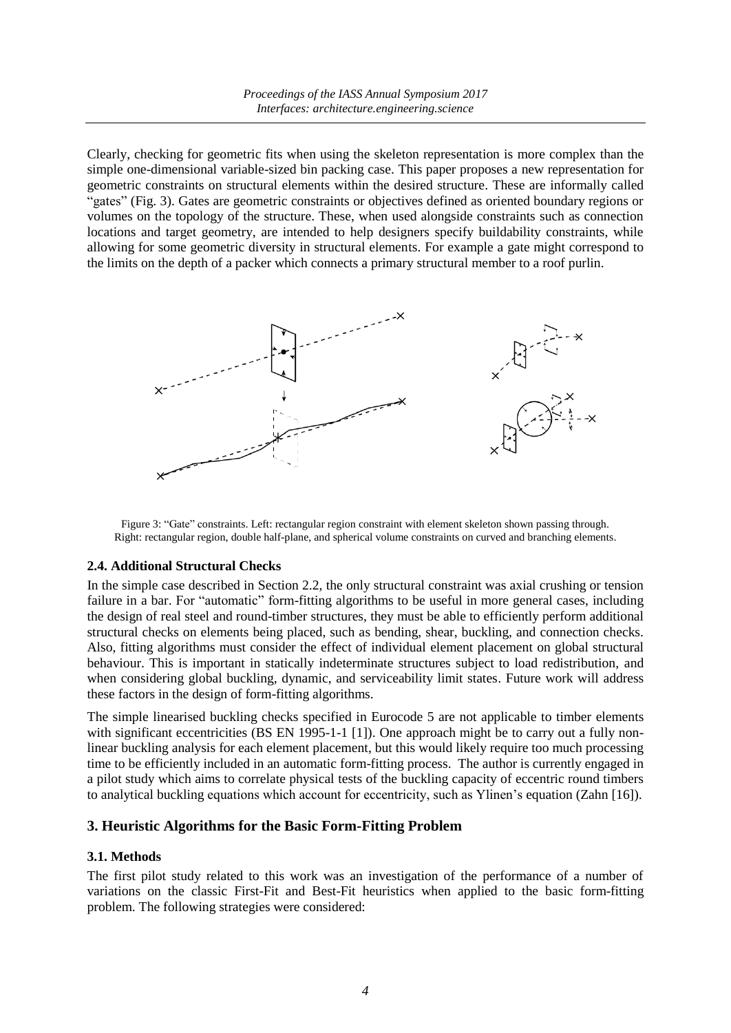Clearly, checking for geometric fits when using the skeleton representation is more complex than the simple one-dimensional variable-sized bin packing case. This paper proposes a new representation for geometric constraints on structural elements within the desired structure. These are informally called "gates" (Fig. 3). Gates are geometric constraints or objectives defined as oriented boundary regions or volumes on the topology of the structure. These, when used alongside constraints such as connection locations and target geometry, are intended to help designers specify buildability constraints, while allowing for some geometric diversity in structural elements. For example a gate might correspond to the limits on the depth of a packer which connects a primary structural member to a roof purlin.



Figure 3: "Gate" constraints. Left: rectangular region constraint with element skeleton shown passing through. Right: rectangular region, double half-plane, and spherical volume constraints on curved and branching elements.

## **2.4. Additional Structural Checks**

In the simple case described in Section 2.2, the only structural constraint was axial crushing or tension failure in a bar. For "automatic" form-fitting algorithms to be useful in more general cases, including the design of real steel and round-timber structures, they must be able to efficiently perform additional structural checks on elements being placed, such as bending, shear, buckling, and connection checks. Also, fitting algorithms must consider the effect of individual element placement on global structural behaviour. This is important in statically indeterminate structures subject to load redistribution, and when considering global buckling, dynamic, and serviceability limit states. Future work will address these factors in the design of form-fitting algorithms.

The simple linearised buckling checks specified in Eurocode 5 are not applicable to timber elements with significant eccentricities (BS EN 1995-1-1 [1]). One approach might be to carry out a fully nonlinear buckling analysis for each element placement, but this would likely require too much processing time to be efficiently included in an automatic form-fitting process. The author is currently engaged in a pilot study which aims to correlate physical tests of the buckling capacity of eccentric round timbers to analytical buckling equations which account for eccentricity, such as Ylinen's equation (Zahn [16]).

## **3. Heuristic Algorithms for the Basic Form-Fitting Problem**

#### **3.1. Methods**

The first pilot study related to this work was an investigation of the performance of a number of variations on the classic First-Fit and Best-Fit heuristics when applied to the basic form-fitting problem. The following strategies were considered: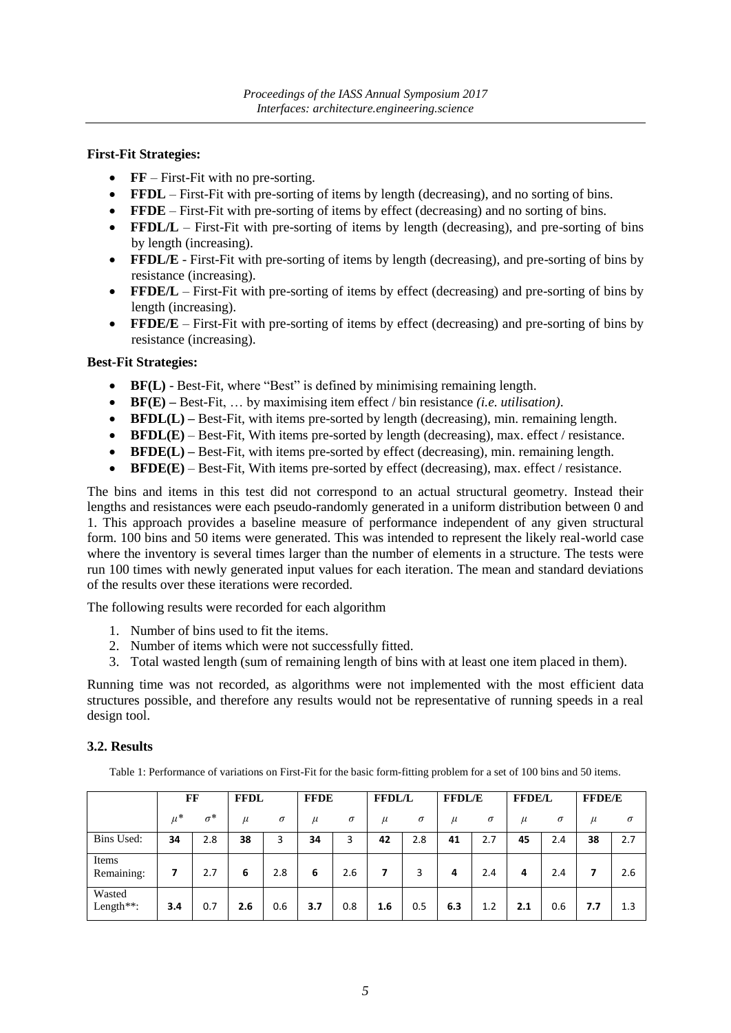#### **First-Fit Strategies:**

- **• FF** First-Fit with no pre-sorting.
- **FFDL** First-Fit with pre-sorting of items by length (decreasing), and no sorting of bins.
- **FFDE** First-Fit with pre-sorting of items by effect (decreasing) and no sorting of bins.
- **FFDL/L** First-Fit with pre-sorting of items by length (decreasing), and pre-sorting of bins by length (increasing).
- **FFDL/E** First-Fit with pre-sorting of items by length (decreasing), and pre-sorting of bins by resistance (increasing).
- **FFDE/L** First-Fit with pre-sorting of items by effect (decreasing) and pre-sorting of bins by length (increasing).
- **FFDE/E** First-Fit with pre-sorting of items by effect (decreasing) and pre-sorting of bins by resistance (increasing).

#### **Best-Fit Strategies:**

- **BF(L)** Best-Fit, where "Best" is defined by minimising remaining length.
- **BF(E) –** Best-Fit, … by maximising item effect / bin resistance *(i.e. utilisation)*.
- **BFDL(L)** Best-Fit, with items pre-sorted by length (decreasing), min. remaining length.
- **BFDL(E)** Best-Fit, With items pre-sorted by length (decreasing), max. effect / resistance.
- **BFDE(L)** Best-Fit, with items pre-sorted by effect (decreasing), min. remaining length.
- **BFDE(E)** Best-Fit, With items pre-sorted by effect (decreasing), max. effect / resistance.

The bins and items in this test did not correspond to an actual structural geometry. Instead their lengths and resistances were each pseudo-randomly generated in a uniform distribution between 0 and 1. This approach provides a baseline measure of performance independent of any given structural form. 100 bins and 50 items were generated. This was intended to represent the likely real-world case where the inventory is several times larger than the number of elements in a structure. The tests were run 100 times with newly generated input values for each iteration. The mean and standard deviations of the results over these iterations were recorded.

The following results were recorded for each algorithm

- 1. Number of bins used to fit the items.
- 2. Number of items which were not successfully fitted.
- 3. Total wasted length (sum of remaining length of bins with at least one item placed in them).

Running time was not recorded, as algorithms were not implemented with the most efficient data structures possible, and therefore any results would not be representative of running speeds in a real design tool.

## **3.2. Results**

Table 1: Performance of variations on First-Fit for the basic form-fitting problem for a set of 100 bins and 50 items.

|                     | FF      |            | <b>FFDL</b> |          | <b>FFDE</b> |          | <b>FFDL/L</b> |          | <b>FFDL/E</b> |          | <b>FFDE/L</b> |          | <b>FFDE/E</b> |          |
|---------------------|---------|------------|-------------|----------|-------------|----------|---------------|----------|---------------|----------|---------------|----------|---------------|----------|
|                     | $\mu^*$ | $\sigma^*$ | $\mu$       | $\sigma$ | $\mu$       | $\sigma$ | $\mu$         | $\sigma$ | $\mu$         | $\sigma$ | $\mu$         | $\sigma$ | $\mu$         | $\sigma$ |
| Bins Used:          | 34      | 2.8        | 38          | 3        | 34          | 3        | 42            | 2.8      | 41            | 2.7      | 45            | 2.4      | 38            | 2.7      |
| Items<br>Remaining: | 7       | 2.7        | 6           | 2.8      | 6           | 2.6      | 7             | 3        | 4             | 2.4      | 4             | 2.4      | 7             | 2.6      |
| Wasted<br>Length**: | 3.4     | 0.7        | 2.6         | 0.6      | 3.7         | 0.8      | 1.6           | 0.5      | 6.3           | 1.2      | 2.1           | 0.6      | 7.7           | 1.3      |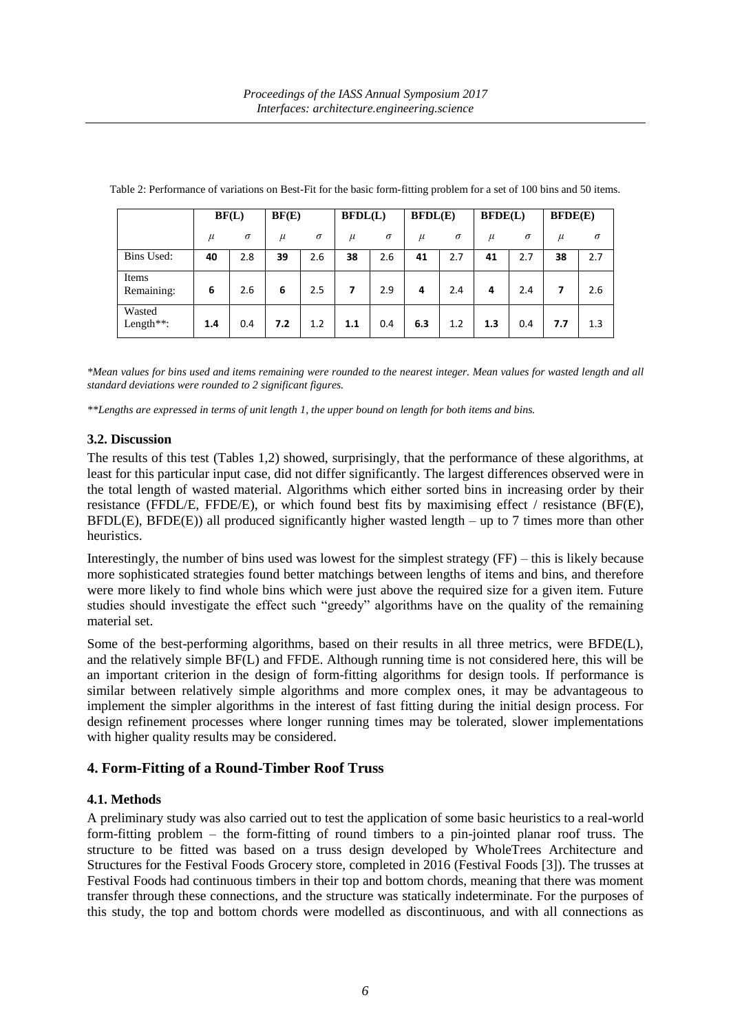|                         | BF(L) |          | BF(E) |          | BFDL(L) |          | BFDL(E) |          | BFDE(L) |          | BFDE(E) |          |
|-------------------------|-------|----------|-------|----------|---------|----------|---------|----------|---------|----------|---------|----------|
|                         | $\mu$ | $\sigma$ | $\mu$ | $\sigma$ | $\mu$   | $\sigma$ | $\mu$   | $\sigma$ | $\mu$   | $\sigma$ | $\mu$   | $\sigma$ |
| Bins Used:              | 40    | 2.8      | 39    | 2.6      | 38      | 2.6      | 41      | 2.7      | 41      | 2.7      | 38      | 2.7      |
| Items<br>Remaining:     | 6     | 2.6      | 6     | 2.5      | 7       | 2.9      | 4       | 2.4      | 4       | 2.4      | 7       | 2.6      |
| Wasted<br>Length $**$ : | 1.4   | 0.4      | 7.2   | 1.2      | 1.1     | 0.4      | 6.3     | 1.2      | 1.3     | 0.4      | 7.7     | 1.3      |

Table 2: Performance of variations on Best-Fit for the basic form-fitting problem for a set of 100 bins and 50 items.

*\*Mean values for bins used and items remaining were rounded to the nearest integer. Mean values for wasted length and all standard deviations were rounded to 2 significant figures.* 

*\*\*Lengths are expressed in terms of unit length 1, the upper bound on length for both items and bins.*

#### **3.2. Discussion**

The results of this test (Tables 1,2) showed, surprisingly, that the performance of these algorithms, at least for this particular input case, did not differ significantly. The largest differences observed were in the total length of wasted material. Algorithms which either sorted bins in increasing order by their resistance (FFDL/E, FFDE/E), or which found best fits by maximising effect / resistance (BF(E), BFDL(E), BFDE(E)) all produced significantly higher wasted length – up to 7 times more than other heuristics.

Interestingly, the number of bins used was lowest for the simplest strategy (FF) – this is likely because more sophisticated strategies found better matchings between lengths of items and bins, and therefore were more likely to find whole bins which were just above the required size for a given item. Future studies should investigate the effect such "greedy" algorithms have on the quality of the remaining material set.

Some of the best-performing algorithms, based on their results in all three metrics, were BFDE(L), and the relatively simple BF(L) and FFDE. Although running time is not considered here, this will be an important criterion in the design of form-fitting algorithms for design tools. If performance is similar between relatively simple algorithms and more complex ones, it may be advantageous to implement the simpler algorithms in the interest of fast fitting during the initial design process. For design refinement processes where longer running times may be tolerated, slower implementations with higher quality results may be considered.

## **4. Form-Fitting of a Round-Timber Roof Truss**

## **4.1. Methods**

A preliminary study was also carried out to test the application of some basic heuristics to a real-world form-fitting problem – the form-fitting of round timbers to a pin-jointed planar roof truss. The structure to be fitted was based on a truss design developed by WholeTrees Architecture and Structures for the Festival Foods Grocery store, completed in 2016 (Festival Foods [3]). The trusses at Festival Foods had continuous timbers in their top and bottom chords, meaning that there was moment transfer through these connections, and the structure was statically indeterminate. For the purposes of this study, the top and bottom chords were modelled as discontinuous, and with all connections as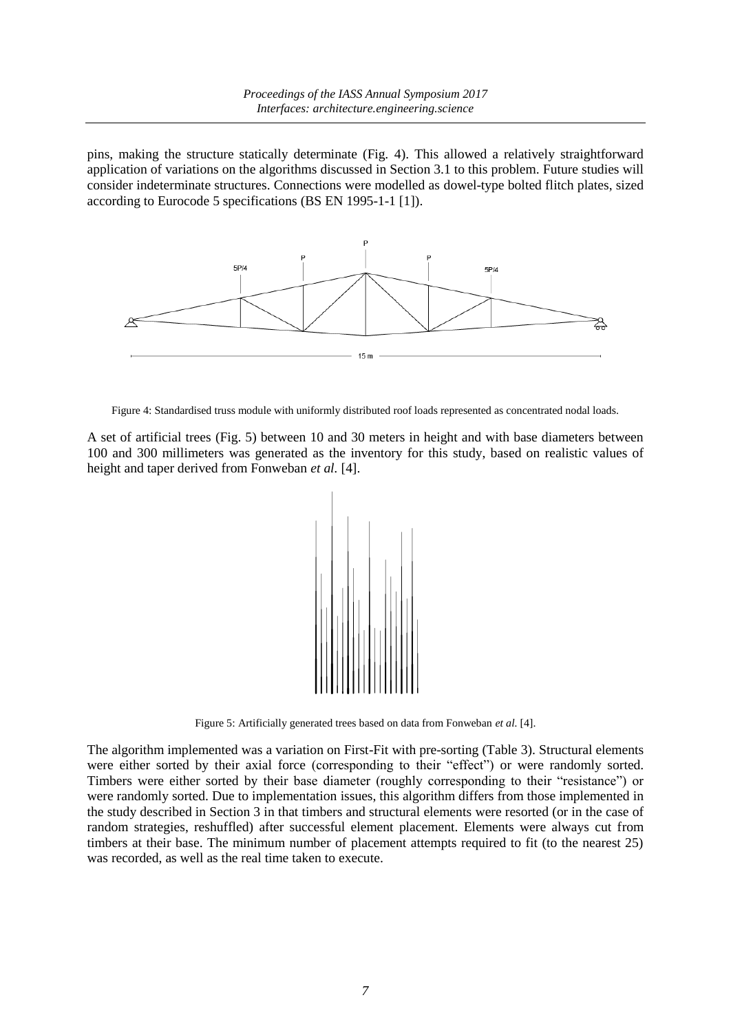pins, making the structure statically determinate (Fig. 4). This allowed a relatively straightforward application of variations on the algorithms discussed in Section 3.1 to this problem. Future studies will consider indeterminate structures. Connections were modelled as dowel-type bolted flitch plates, sized according to Eurocode 5 specifications (BS EN 1995-1-1 [1]).



Figure 4: Standardised truss module with uniformly distributed roof loads represented as concentrated nodal loads.

A set of artificial trees (Fig. 5) between 10 and 30 meters in height and with base diameters between 100 and 300 millimeters was generated as the inventory for this study, based on realistic values of height and taper derived from Fonweban *et al.* [4].



Figure 5: Artificially generated trees based on data from Fonweban *et al.* [4].

The algorithm implemented was a variation on First-Fit with pre-sorting (Table 3). Structural elements were either sorted by their axial force (corresponding to their "effect") or were randomly sorted. Timbers were either sorted by their base diameter (roughly corresponding to their "resistance") or were randomly sorted. Due to implementation issues, this algorithm differs from those implemented in the study described in Section 3 in that timbers and structural elements were resorted (or in the case of random strategies, reshuffled) after successful element placement. Elements were always cut from timbers at their base. The minimum number of placement attempts required to fit (to the nearest 25) was recorded, as well as the real time taken to execute.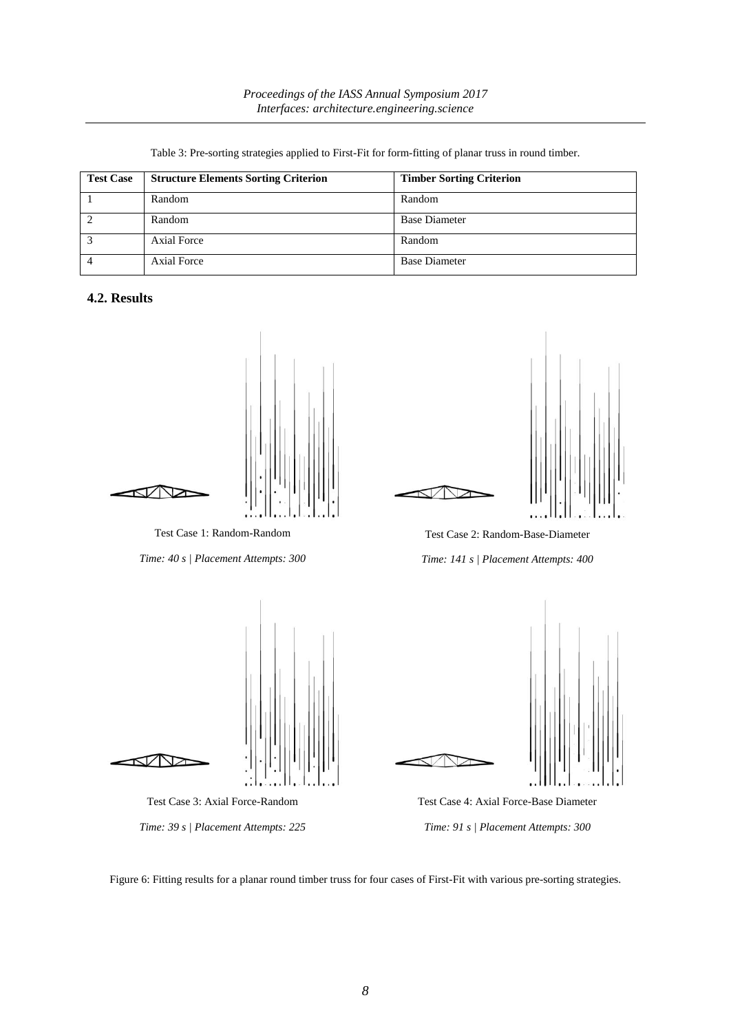| <b>Test Case</b> | <b>Structure Elements Sorting Criterion</b> | <b>Timber Sorting Criterion</b> |
|------------------|---------------------------------------------|---------------------------------|
|                  | Random                                      | Random                          |
|                  | Random                                      | <b>Base Diameter</b>            |
|                  | Axial Force                                 | Random                          |
|                  | <b>Axial Force</b>                          | <b>Base Diameter</b>            |

Table 3: Pre-sorting strategies applied to First-Fit for form-fitting of planar truss in round timber.

#### **4.2. Results**



Test Case 1: Random-Random

*Time: 40 s | Placement Attempts: 300*



Test Case 2: Random-Base-Diameter *Time: 141 s | Placement Attempts: 400*



Figure 6: Fitting results for a planar round timber truss for four cases of First-Fit with various pre-sorting strategies.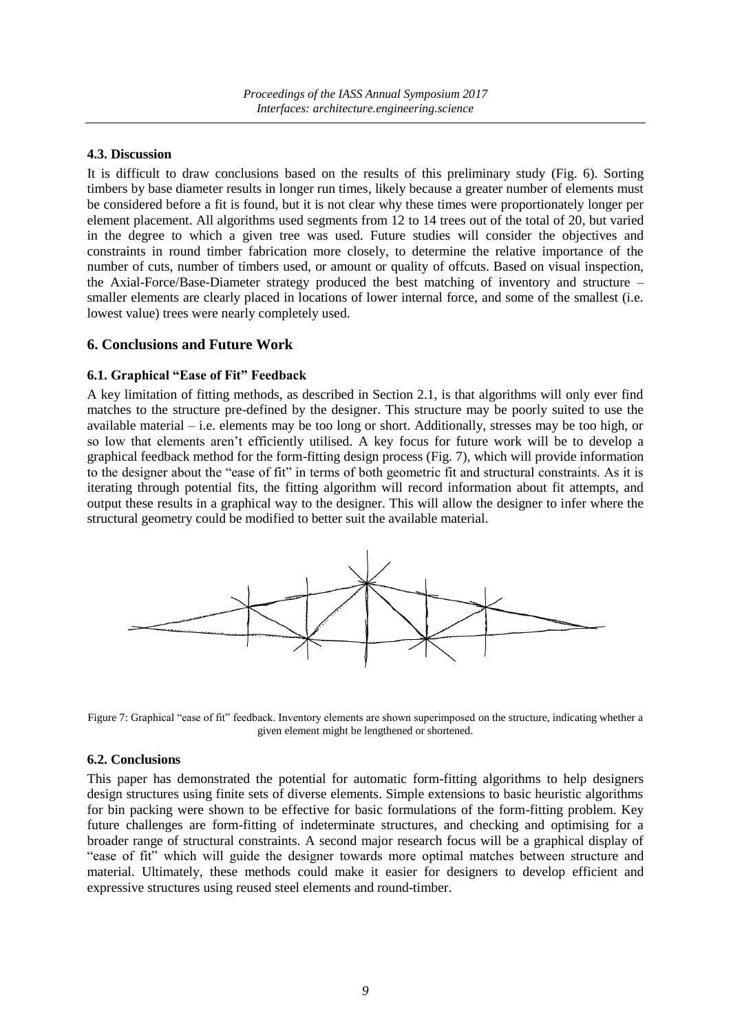#### **4.3. Discussion**

It is difficult to draw conclusions based on the results of this preliminary study (Fig. 6). Sorting timbers by base diameter results in longer run times, likely because a greater number of elements must be considered before a fit is found, but it is not clear why these times were proportionately longer per element placement. All algorithms used segments from 12 to 14 trees out of the total of 20, but varied in the degree to which a given tree was used. Future studies will consider the objectives and constraints in round timber fabrication more closely, to determine the relative importance of the number of cuts, number of timbers used, or amount or quality of offcuts. Based on visual inspection, the Axial-Force/Base-Diameter strategy produced the best matching of inventory and structure – smaller elements are clearly placed in locations of lower internal force, and some of the smallest (i.e. lowest value) trees were nearly completely used.

#### **6. Conclusions and Future Work**

#### **6.1. Graphical "Ease of Fit" Feedback**

A key limitation of fitting methods, as described in Section 2.1, is that algorithms will only ever find matches to the structure pre-defined by the designer. This structure may be poorly suited to use the available material – i.e. elements may be too long or short. Additionally, stresses may be too high, or so low that elements aren't efficiently utilised. A key focus for future work will be to develop a graphical feedback method for the form-fitting design process (Fig. 7), which will provide information to the designer about the "ease of fit" in terms of both geometric fit and structural constraints. As it is iterating through potential fits, the fitting algorithm will record information about fit attempts, and output these results in a graphical way to the designer. This will allow the designer to infer where the structural geometry could be modified to better suit the available material.



Figure 7: Graphical "ease of fit" feedback. Inventory elements are shown superimposed on the structure, indicating whether a given element might be lengthened or shortened.

#### **6.2. Conclusions**

This paper has demonstrated the potential for automatic form-fitting algorithms to help designers design structures using finite sets of diverse elements. Simple extensions to basic heuristic algorithms for bin packing were shown to be effective for basic formulations of the form-fitting problem. Key future challenges are form-fitting of indeterminate structures, and checking and optimising for a broader range of structural constraints. A second major research focus will be a graphical display of "ease of fit" which will guide the designer towards more optimal matches between structure and material. Ultimately, these methods could make it easier for designers to develop efficient and expressive structures using reused steel elements and round-timber.